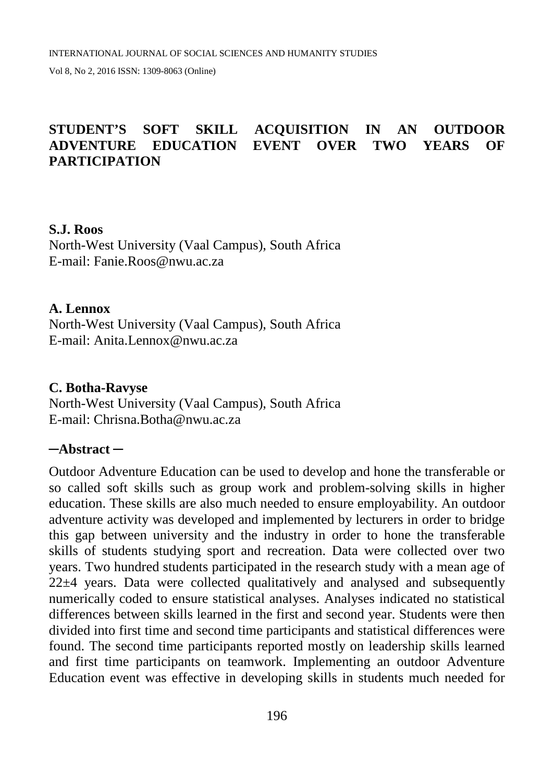#### **STUDENT'S SOFT SKILL ACQUISITION IN AN OUTDOOR ADVENTURE EDUCATION EVENT OVER TWO YEARS OF PARTICIPATION**

#### **S.J. Roos**

North-West University (Vaal Campus), South Africa E-mail: [Fanie.Roos@nwu.ac.za](mailto:Fanie.Roos@nwu.ac.za)

#### **A. Lennox**

North-West University (Vaal Campus), South Africa E-mail: [Anita.Lennox@nwu.ac.za](mailto:Anita.Lennox@nwu.ac.za)

#### **C. Botha-Ravyse**

North-West University (Vaal Campus), South Africa E-mail: [Chrisna.Botha@nwu.ac.za](mailto:Chrisna.Botha@nwu.ac.za)

#### **─Abstract ─**

Outdoor Adventure Education can be used to develop and hone the transferable or so called soft skills such as group work and problem-solving skills in higher education. These skills are also much needed to ensure employability. An outdoor adventure activity was developed and implemented by lecturers in order to bridge this gap between university and the industry in order to hone the transferable skills of students studying sport and recreation. Data were collected over two years. Two hundred students participated in the research study with a mean age of 22±4 years. Data were collected qualitatively and analysed and subsequently numerically coded to ensure statistical analyses. Analyses indicated no statistical differences between skills learned in the first and second year. Students were then divided into first time and second time participants and statistical differences were found. The second time participants reported mostly on leadership skills learned and first time participants on teamwork. Implementing an outdoor Adventure Education event was effective in developing skills in students much needed for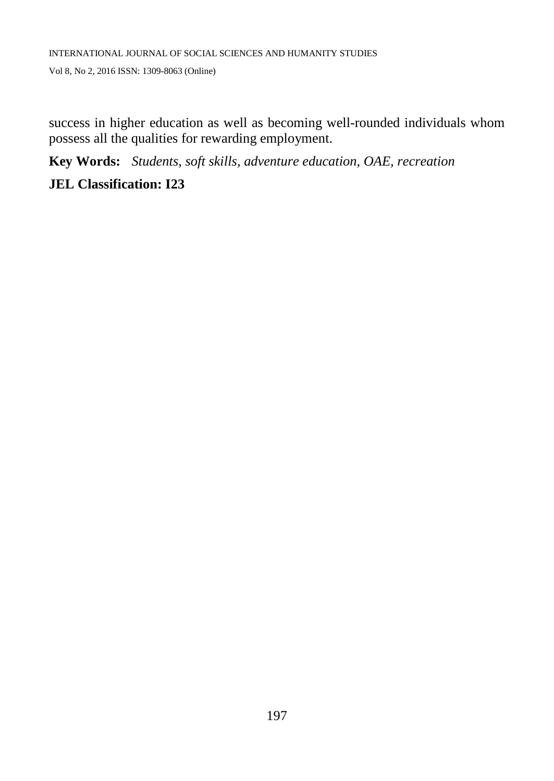success in higher education as well as becoming well-rounded individuals whom possess all the qualities for rewarding employment.

**Key Words:** *Students, soft skills, adventure education, OAE, recreation*

## **JEL Classification: I23**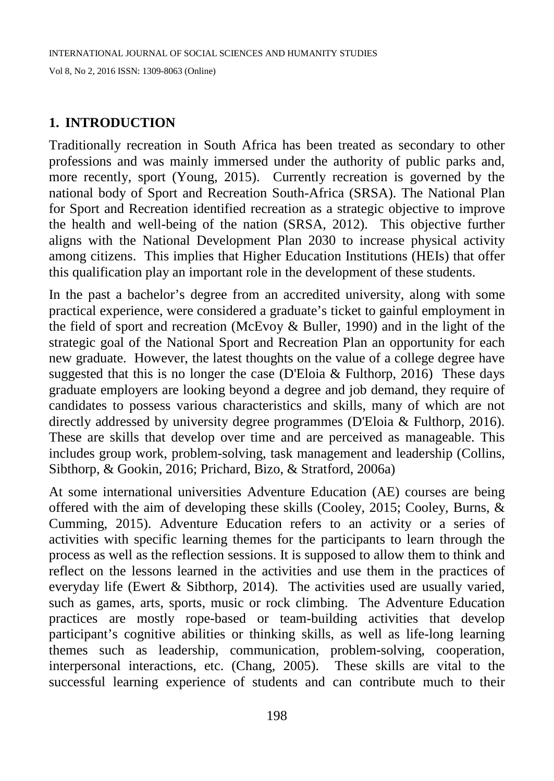#### **1. INTRODUCTION**

Traditionally recreation in South Africa has been treated as secondary to other professions and was mainly immersed under the authority of public parks and, more recently, sport (Young, 2015). Currently recreation is governed by the national body of Sport and Recreation South-Africa (SRSA). The National Plan for Sport and Recreation identified recreation as a strategic objective to improve the health and well-being of the nation (SRSA, 2012). This objective further aligns with the National Development Plan 2030 to increase physical activity among citizens. This implies that Higher Education Institutions (HEIs) that offer this qualification play an important role in the development of these students.

In the past a bachelor's degree from an accredited university, along with some practical experience, were considered a graduate's ticket to gainful employment in the field of sport and recreation (McEvoy & Buller, 1990) and in the light of the strategic goal of the National Sport and Recreation Plan an opportunity for each new graduate. However, the latest thoughts on the value of a college degree have suggested that this is no longer the case (D'Eloia & Fulthorp, 2016) These days graduate employers are looking beyond a degree and job demand, they require of candidates to possess various characteristics and skills, many of which are not directly addressed by university degree programmes (D'Eloia & Fulthorp, 2016). These are skills that develop over time and are perceived as manageable. This includes group work, problem-solving, task management and leadership (Collins, Sibthorp, & Gookin, 2016; Prichard, Bizo, & Stratford, 2006a)

At some international universities Adventure Education (AE) courses are being offered with the aim of developing these skills (Cooley, 2015; Cooley, Burns, & Cumming, 2015). Adventure Education refers to an activity or a series of activities with specific learning themes for the participants to learn through the process as well as the reflection sessions. It is supposed to allow them to think and reflect on the lessons learned in the activities and use them in the practices of everyday life (Ewert & Sibthorp, 2014). The activities used are usually varied, such as games, arts, sports, music or rock climbing. The Adventure Education practices are mostly rope-based or team-building activities that develop participant's cognitive abilities or thinking skills, as well as life-long learning themes such as leadership, communication, problem-solving, cooperation, interpersonal interactions, etc. (Chang, 2005). These skills are vital to the successful learning experience of students and can contribute much to their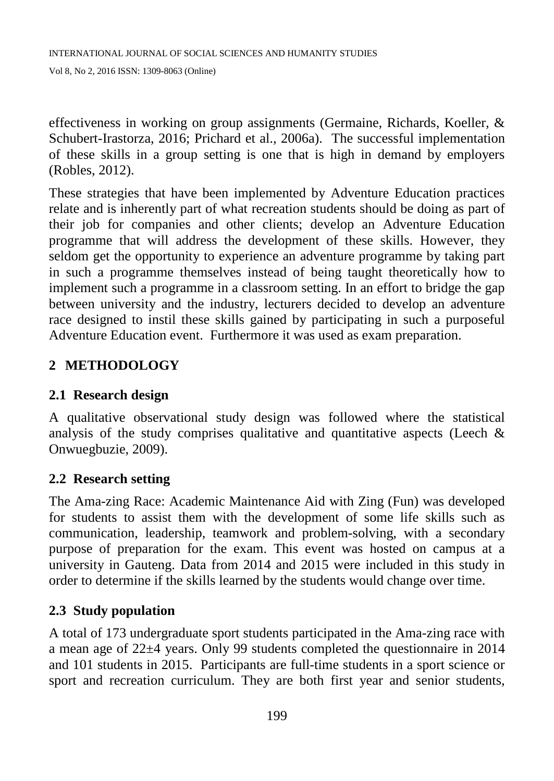effectiveness in working on group assignments (Germaine, Richards, Koeller, & Schubert-Irastorza, 2016; Prichard et al., 2006a). The successful implementation of these skills in a group setting is one that is high in demand by employers (Robles, 2012).

These strategies that have been implemented by Adventure Education practices relate and is inherently part of what recreation students should be doing as part of their job for companies and other clients; develop an Adventure Education programme that will address the development of these skills. However, they seldom get the opportunity to experience an adventure programme by taking part in such a programme themselves instead of being taught theoretically how to implement such a programme in a classroom setting. In an effort to bridge the gap between university and the industry, lecturers decided to develop an adventure race designed to instil these skills gained by participating in such a purposeful Adventure Education event. Furthermore it was used as exam preparation.

# **2 METHODOLOGY**

### **2.1 Research design**

A qualitative observational study design was followed where the statistical analysis of the study comprises qualitative and quantitative aspects (Leech  $\&$ Onwuegbuzie, 2009).

### **2.2 Research setting**

The Ama-zing Race: Academic Maintenance Aid with Zing (Fun) was developed for students to assist them with the development of some life skills such as communication, leadership, teamwork and problem-solving, with a secondary purpose of preparation for the exam. This event was hosted on campus at a university in Gauteng. Data from 2014 and 2015 were included in this study in order to determine if the skills learned by the students would change over time.

### **2.3 Study population**

A total of 173 undergraduate sport students participated in the Ama-zing race with a mean age of 22±4 years. Only 99 students completed the questionnaire in 2014 and 101 students in 2015. Participants are full-time students in a sport science or sport and recreation curriculum. They are both first year and senior students,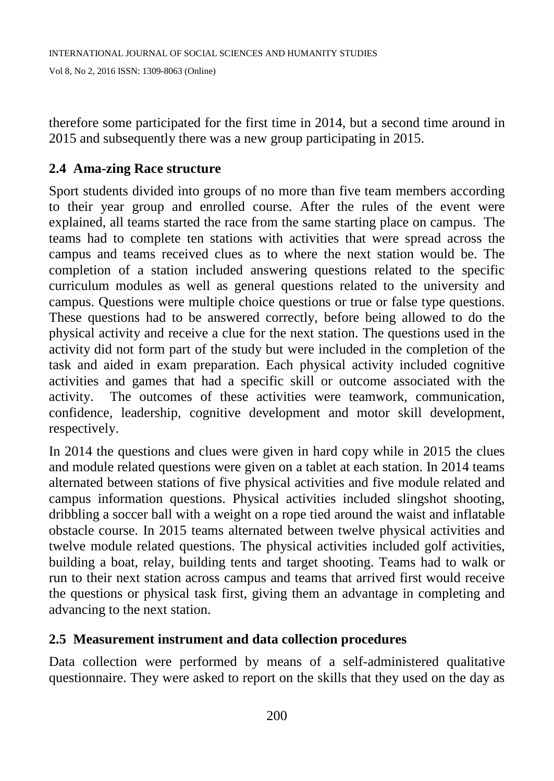therefore some participated for the first time in 2014, but a second time around in 2015 and subsequently there was a new group participating in 2015.

### **2.4 Ama-zing Race structure**

Sport students divided into groups of no more than five team members according to their year group and enrolled course. After the rules of the event were explained, all teams started the race from the same starting place on campus. The teams had to complete ten stations with activities that were spread across the campus and teams received clues as to where the next station would be. The completion of a station included answering questions related to the specific curriculum modules as well as general questions related to the university and campus. Questions were multiple choice questions or true or false type questions. These questions had to be answered correctly, before being allowed to do the physical activity and receive a clue for the next station. The questions used in the activity did not form part of the study but were included in the completion of the task and aided in exam preparation. Each physical activity included cognitive activities and games that had a specific skill or outcome associated with the activity. The outcomes of these activities were teamwork, communication, confidence, leadership, cognitive development and motor skill development, respectively.

In 2014 the questions and clues were given in hard copy while in 2015 the clues and module related questions were given on a tablet at each station. In 2014 teams alternated between stations of five physical activities and five module related and campus information questions. Physical activities included slingshot shooting, dribbling a soccer ball with a weight on a rope tied around the waist and inflatable obstacle course. In 2015 teams alternated between twelve physical activities and twelve module related questions. The physical activities included golf activities, building a boat, relay, building tents and target shooting. Teams had to walk or run to their next station across campus and teams that arrived first would receive the questions or physical task first, giving them an advantage in completing and advancing to the next station.

### **2.5 Measurement instrument and data collection procedures**

Data collection were performed by means of a self-administered qualitative questionnaire. They were asked to report on the skills that they used on the day as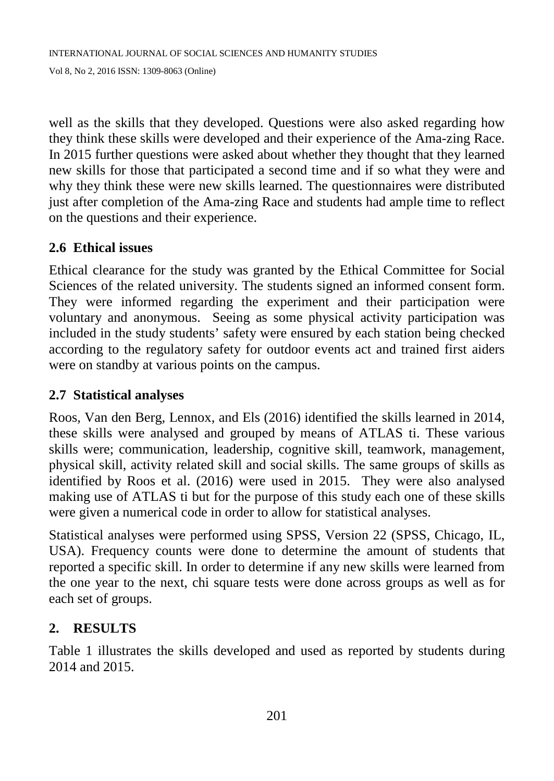well as the skills that they developed. Questions were also asked regarding how they think these skills were developed and their experience of the Ama-zing Race. In 2015 further questions were asked about whether they thought that they learned new skills for those that participated a second time and if so what they were and why they think these were new skills learned. The questionnaires were distributed just after completion of the Ama-zing Race and students had ample time to reflect on the questions and their experience.

### **2.6 Ethical issues**

Ethical clearance for the study was granted by the Ethical Committee for Social Sciences of the related university. The students signed an informed consent form. They were informed regarding the experiment and their participation were voluntary and anonymous. Seeing as some physical activity participation was included in the study students' safety were ensured by each station being checked according to the regulatory safety for outdoor events act and trained first aiders were on standby at various points on the campus.

### **2.7 Statistical analyses**

Roos, Van den Berg, Lennox, and Els (2016) identified the skills learned in 2014, these skills were analysed and grouped by means of ATLAS ti. These various skills were; communication, leadership, cognitive skill, teamwork, management, physical skill, activity related skill and social skills. The same groups of skills as identified by Roos et al. (2016) were used in 2015. They were also analysed making use of ATLAS ti but for the purpose of this study each one of these skills were given a numerical code in order to allow for statistical analyses.

Statistical analyses were performed using SPSS, Version 22 (SPSS, Chicago, IL, USA). Frequency counts were done to determine the amount of students that reported a specific skill. In order to determine if any new skills were learned from the one year to the next, chi square tests were done across groups as well as for each set of groups.

## **2. RESULTS**

Table 1 illustrates the skills developed and used as reported by students during 2014 and 2015.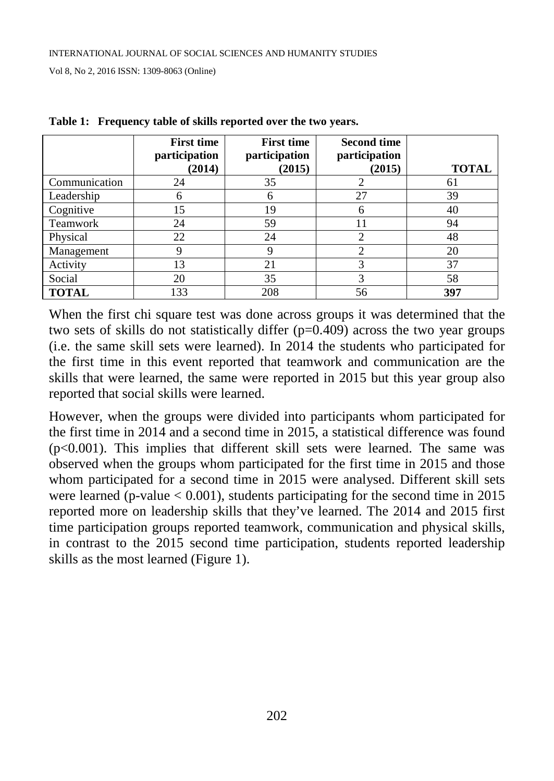|               | <b>First time</b><br>participation<br>(2014) | <b>First time</b><br>participation<br>(2015) | <b>Second time</b><br>participation<br>(2015) | <b>TOTAL</b> |
|---------------|----------------------------------------------|----------------------------------------------|-----------------------------------------------|--------------|
| Communication | 24                                           | 35                                           | $\overline{2}$                                | 61           |
| Leadership    | 6                                            | 6                                            | 27                                            | 39           |
| Cognitive     | 15                                           | 19                                           | 6                                             | 40           |
| Teamwork      | 24                                           | 59                                           | 11                                            | 94           |
| Physical      | 22                                           | 24                                           | 2                                             | 48           |
| Management    | 9                                            | 9                                            | $\mathfrak{D}$                                | 20           |
| Activity      | 13                                           | 21                                           | 3                                             | 37           |
| Social        | 20                                           | 35                                           | 3                                             | 58           |
| <b>TOTAL</b>  | 133                                          | 208                                          | 56                                            | 397          |

|  |  |  | Table 1: Frequency table of skills reported over the two years. |  |  |
|--|--|--|-----------------------------------------------------------------|--|--|
|--|--|--|-----------------------------------------------------------------|--|--|

When the first chi square test was done across groups it was determined that the two sets of skills do not statistically differ (p=0.409) across the two year groups (i.e. the same skill sets were learned). In 2014 the students who participated for the first time in this event reported that teamwork and communication are the skills that were learned, the same were reported in 2015 but this year group also reported that social skills were learned.

However, when the groups were divided into participants whom participated for the first time in 2014 and a second time in 2015, a statistical difference was found  $(p<0.001)$ . This implies that different skill sets were learned. The same was observed when the groups whom participated for the first time in 2015 and those whom participated for a second time in 2015 were analysed. Different skill sets were learned (p-value  $< 0.001$ ), students participating for the second time in 2015 reported more on leadership skills that they've learned. The 2014 and 2015 first time participation groups reported teamwork, communication and physical skills, in contrast to the 2015 second time participation, students reported leadership skills as the most learned (Figure 1).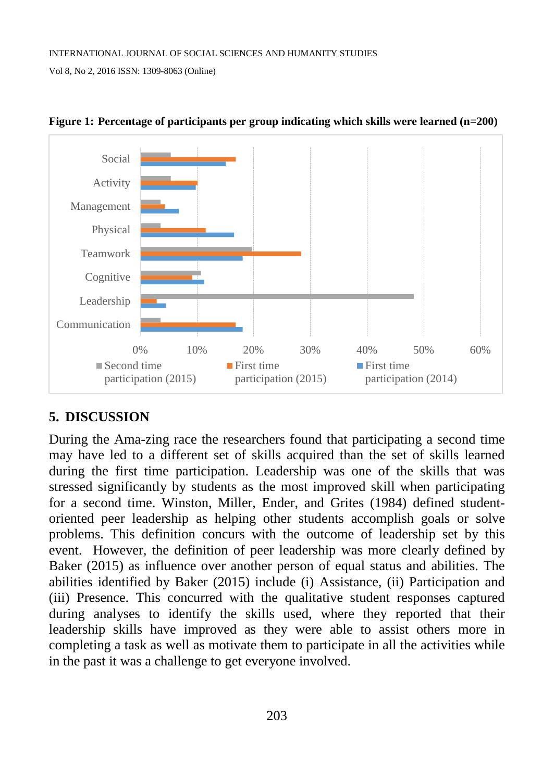



## **5. DISCUSSION**

During the Ama-zing race the researchers found that participating a second time may have led to a different set of skills acquired than the set of skills learned during the first time participation. Leadership was one of the skills that was stressed significantly by students as the most improved skill when participating for a second time. Winston, Miller, Ender, and Grites (1984) defined studentoriented peer leadership as helping other students accomplish goals or solve problems. This definition concurs with the outcome of leadership set by this event. However, the definition of peer leadership was more clearly defined by Baker (2015) as influence over another person of equal status and abilities. The abilities identified by Baker (2015) include (i) Assistance, (ii) Participation and (iii) Presence. This concurred with the qualitative student responses captured during analyses to identify the skills used, where they reported that their leadership skills have improved as they were able to assist others more in completing a task as well as motivate them to participate in all the activities while in the past it was a challenge to get everyone involved.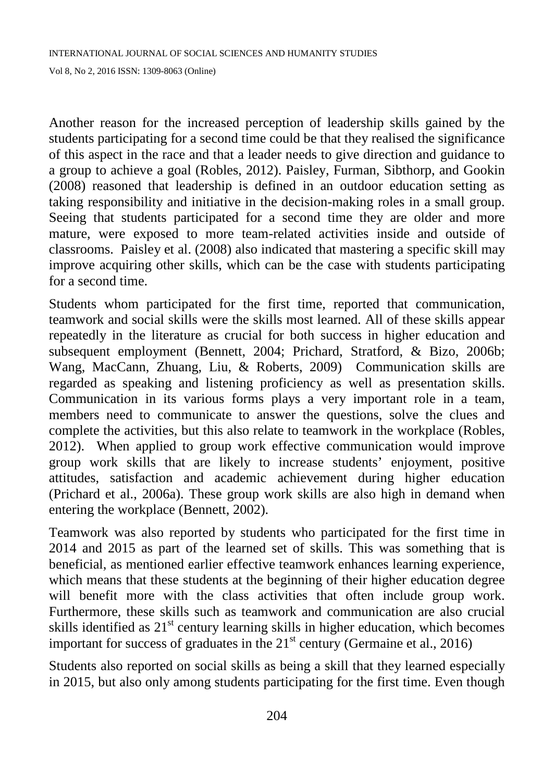Another reason for the increased perception of leadership skills gained by the students participating for a second time could be that they realised the significance of this aspect in the race and that a leader needs to give direction and guidance to a group to achieve a goal (Robles, 2012). Paisley, Furman, Sibthorp, and Gookin (2008) reasoned that leadership is defined in an outdoor education setting as taking responsibility and initiative in the decision-making roles in a small group. Seeing that students participated for a second time they are older and more mature, were exposed to more team-related activities inside and outside of classrooms. Paisley et al. (2008) also indicated that mastering a specific skill may improve acquiring other skills, which can be the case with students participating for a second time.

Students whom participated for the first time, reported that communication, teamwork and social skills were the skills most learned. All of these skills appear repeatedly in the literature as crucial for both success in higher education and subsequent employment (Bennett, 2004; Prichard, Stratford, & Bizo, 2006b; Wang, MacCann, Zhuang, Liu, & Roberts, 2009) Communication skills are regarded as speaking and listening proficiency as well as presentation skills. Communication in its various forms plays a very important role in a team, members need to communicate to answer the questions, solve the clues and complete the activities, but this also relate to teamwork in the workplace (Robles, 2012). When applied to group work effective communication would improve group work skills that are likely to increase students' enjoyment, positive attitudes, satisfaction and academic achievement during higher education (Prichard et al., 2006a). These group work skills are also high in demand when entering the workplace (Bennett, 2002).

Teamwork was also reported by students who participated for the first time in 2014 and 2015 as part of the learned set of skills. This was something that is beneficial, as mentioned earlier effective teamwork enhances learning experience, which means that these students at the beginning of their higher education degree will benefit more with the class activities that often include group work. Furthermore, these skills such as teamwork and communication are also crucial skills identified as  $21<sup>st</sup>$  century learning skills in higher education, which becomes important for success of graduates in the  $21<sup>st</sup>$  century (Germaine et al., 2016)

Students also reported on social skills as being a skill that they learned especially in 2015, but also only among students participating for the first time. Even though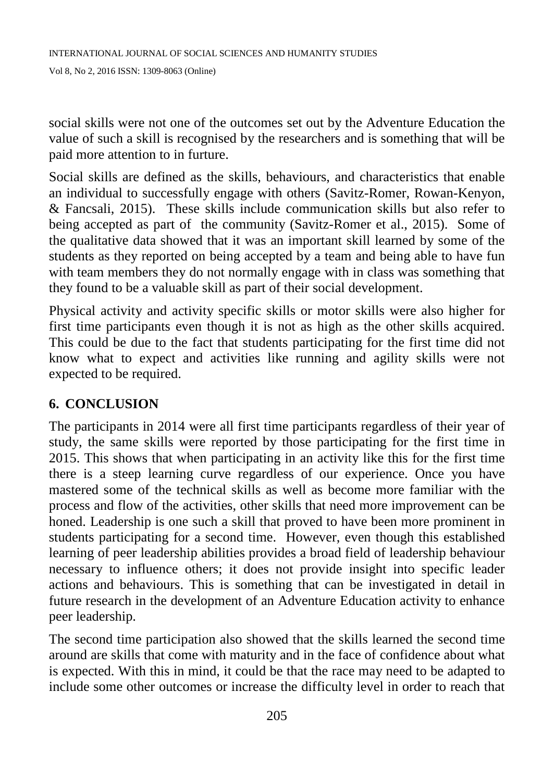social skills were not one of the outcomes set out by the Adventure Education the value of such a skill is recognised by the researchers and is something that will be paid more attention to in furture.

Social skills are defined as the skills, behaviours, and characteristics that enable an individual to successfully engage with others (Savitz-Romer, Rowan-Kenyon, & Fancsali, 2015). These skills include communication skills but also refer to being accepted as part of the community (Savitz-Romer et al., 2015). Some of the qualitative data showed that it was an important skill learned by some of the students as they reported on being accepted by a team and being able to have fun with team members they do not normally engage with in class was something that they found to be a valuable skill as part of their social development.

Physical activity and activity specific skills or motor skills were also higher for first time participants even though it is not as high as the other skills acquired. This could be due to the fact that students participating for the first time did not know what to expect and activities like running and agility skills were not expected to be required.

## **6. CONCLUSION**

The participants in 2014 were all first time participants regardless of their year of study, the same skills were reported by those participating for the first time in 2015. This shows that when participating in an activity like this for the first time there is a steep learning curve regardless of our experience. Once you have mastered some of the technical skills as well as become more familiar with the process and flow of the activities, other skills that need more improvement can be honed. Leadership is one such a skill that proved to have been more prominent in students participating for a second time. However, even though this established learning of peer leadership abilities provides a broad field of leadership behaviour necessary to influence others; it does not provide insight into specific leader actions and behaviours. This is something that can be investigated in detail in future research in the development of an Adventure Education activity to enhance peer leadership.

The second time participation also showed that the skills learned the second time around are skills that come with maturity and in the face of confidence about what is expected. With this in mind, it could be that the race may need to be adapted to include some other outcomes or increase the difficulty level in order to reach that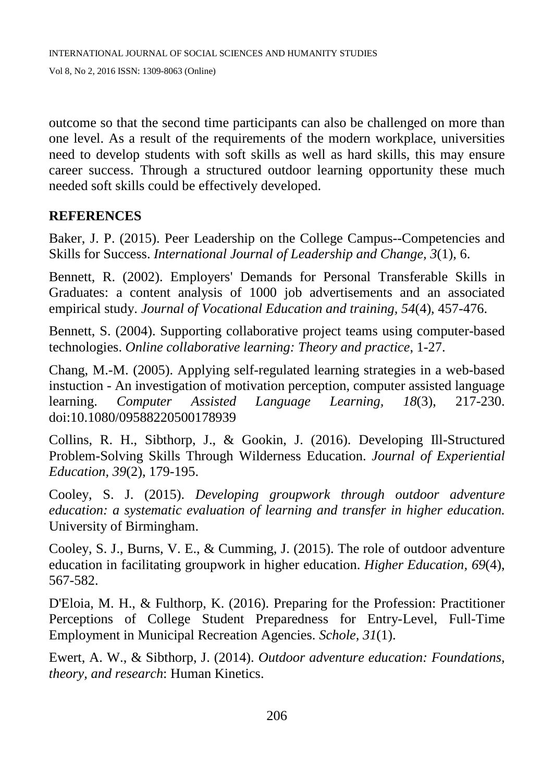outcome so that the second time participants can also be challenged on more than one level. As a result of the requirements of the modern workplace, universities need to develop students with soft skills as well as hard skills, this may ensure career success. Through a structured outdoor learning opportunity these much needed soft skills could be effectively developed.

### **REFERENCES**

Baker, J. P. (2015). Peer Leadership on the College Campus--Competencies and Skills for Success. *International Journal of Leadership and Change, 3*(1), 6.

Bennett, R. (2002). Employers' Demands for Personal Transferable Skills in Graduates: a content analysis of 1000 job advertisements and an associated empirical study. *Journal of Vocational Education and training, 54*(4), 457-476.

Bennett, S. (2004). Supporting collaborative project teams using computer-based technologies. *Online collaborative learning: Theory and practice*, 1-27.

Chang, M.-M. (2005). Applying self-regulated learning strategies in a web-based instuction - An investigation of motivation perception, computer assisted language learning. *Computer Assisted Language Learning, 18*(3), 217-230. doi:10.1080/09588220500178939

Collins, R. H., Sibthorp, J., & Gookin, J. (2016). Developing Ill-Structured Problem-Solving Skills Through Wilderness Education. *Journal of Experiential Education, 39*(2), 179-195.

Cooley, S. J. (2015). *Developing groupwork through outdoor adventure education: a systematic evaluation of learning and transfer in higher education.* University of Birmingham.

Cooley, S. J., Burns, V. E., & Cumming, J. (2015). The role of outdoor adventure education in facilitating groupwork in higher education. *Higher Education, 69*(4), 567-582.

D'Eloia, M. H., & Fulthorp, K. (2016). Preparing for the Profession: Practitioner Perceptions of College Student Preparedness for Entry-Level, Full-Time Employment in Municipal Recreation Agencies. *Schole, 31*(1).

Ewert, A. W., & Sibthorp, J. (2014). *Outdoor adventure education: Foundations, theory, and research*: Human Kinetics.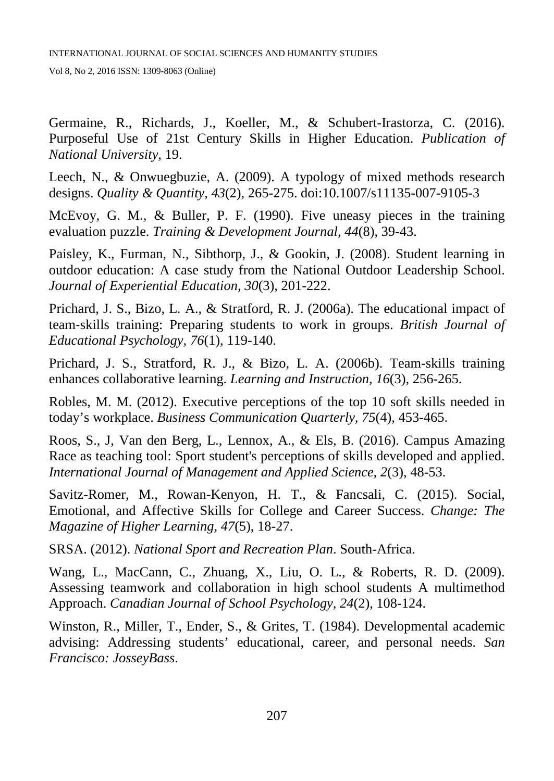Germaine, R., Richards, J., Koeller, M., & Schubert-Irastorza, C. (2016). Purposeful Use of 21st Century Skills in Higher Education. *Publication of National University*, 19.

Leech, N., & Onwuegbuzie, A. (2009). A typology of mixed methods research designs. *Quality & Quantity, 43*(2), 265-275. doi:10.1007/s11135-007-9105-3

McEvoy, G. M., & Buller, P. F. (1990). Five uneasy pieces in the training evaluation puzzle. *Training & Development Journal, 44*(8), 39-43.

Paisley, K., Furman, N., Sibthorp, J., & Gookin, J. (2008). Student learning in outdoor education: A case study from the National Outdoor Leadership School. *Journal of Experiential Education, 30*(3), 201-222.

Prichard, J. S., Bizo, L. A., & Stratford, R. J. (2006a). The educational impact of team‐skills training: Preparing students to work in groups. *British Journal of Educational Psychology, 76*(1), 119-140.

Prichard, J. S., Stratford, R. J., & Bizo, L. A. (2006b). Team-skills training enhances collaborative learning. *Learning and Instruction, 16*(3), 256-265.

Robles, M. M. (2012). Executive perceptions of the top 10 soft skills needed in today's workplace. *Business Communication Quarterly, 75*(4), 453-465.

Roos, S., J, Van den Berg, L., Lennox, A., & Els, B. (2016). Campus Amazing Race as teaching tool: Sport student's perceptions of skills developed and applied. *International Journal of Management and Applied Science, 2*(3), 48-53.

Savitz-Romer, M., Rowan-Kenyon, H. T., & Fancsali, C. (2015). Social, Emotional, and Affective Skills for College and Career Success. *Change: The Magazine of Higher Learning, 47*(5), 18-27.

SRSA. (2012). *National Sport and Recreation Plan*. South-Africa.

Wang, L., MacCann, C., Zhuang, X., Liu, O. L., & Roberts, R. D. (2009). Assessing teamwork and collaboration in high school students A multimethod Approach. *Canadian Journal of School Psychology, 24*(2), 108-124.

Winston, R., Miller, T., Ender, S., & Grites, T. (1984). Developmental academic advising: Addressing students' educational, career, and personal needs. *San Francisco: JosseyBass*.